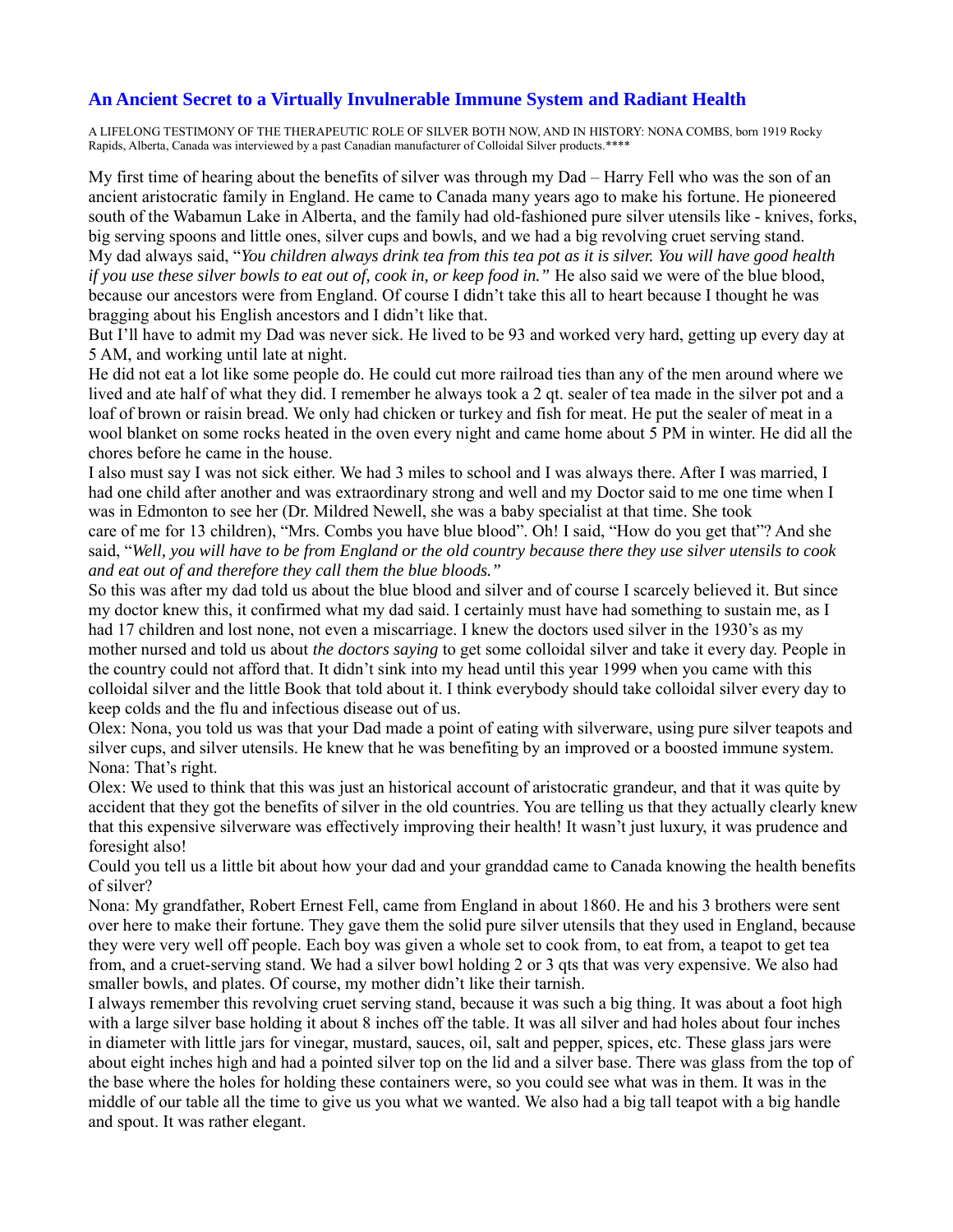### **An Ancient Secret to a Virtually Invulnerable Immune System and Radiant Health**

A LIFELONG TESTIMONY OF THE THERAPEUTIC ROLE OF SILVER BOTH NOW, AND IN HISTORY: NONA COMBS, born 1919 Rocky Rapids, Alberta, Canada was interviewed by a past Canadian manufacturer of Colloidal Silver products.\*\*\*\*

My first time of hearing about the benefits of silver was through my Dad – Harry Fell who was the son of an ancient aristocratic family in England. He came to Canada many years ago to make his fortune. He pioneered south of the Wabamun Lake in Alberta, and the family had old-fashioned pure silver utensils like - knives, forks, big serving spoons and little ones, silver cups and bowls, and we had a big revolving cruet serving stand. My dad always said, "*You children always drink tea from this tea pot as it is silver. You will have good health if you use these silver bowls to eat out of, cook in, or keep food in.*" He also said we were of the blue blood, because our ancestors were from England. Of course I didn't take this all to heart because I thought he was bragging about his English ancestors and I didn't like that.

But I'll have to admit my Dad was never sick. He lived to be 93 and worked very hard, getting up every day at 5 AM, and working until late at night.

He did not eat a lot like some people do. He could cut more railroad ties than any of the men around where we lived and ate half of what they did. I remember he always took a 2 qt. sealer of tea made in the silver pot and a loaf of brown or raisin bread. We only had chicken or turkey and fish for meat. He put the sealer of meat in a wool blanket on some rocks heated in the oven every night and came home about 5 PM in winter. He did all the chores before he came in the house.

I also must say I was not sick either. We had 3 miles to school and I was always there. After I was married, I had one child after another and was extraordinary strong and well and my Doctor said to me one time when I was in Edmonton to see her (Dr. Mildred Newell, she was a baby specialist at that time. She took care of me for 13 children), "Mrs. Combs you have blue blood". Oh! I said, "How do you get that"? And she said, "*Well, you will have to be from England or the old country because there they use silver utensils to cook and eat out of and therefore they call them the blue bloods."*

So this was after my dad told us about the blue blood and silver and of course I scarcely believed it. But since my doctor knew this, it confirmed what my dad said. I certainly must have had something to sustain me, as I had 17 children and lost none, not even a miscarriage. I knew the doctors used silver in the 1930's as my mother nursed and told us about *the doctors saying* to get some colloidal silver and take it every day. People in the country could not afford that. It didn't sink into my head until this year 1999 when you came with this colloidal silver and the little Book that told about it. I think everybody should take colloidal silver every day to keep colds and the flu and infectious disease out of us.

Olex: Nona, you told us was that your Dad made a point of eating with silverware, using pure silver teapots and silver cups, and silver utensils. He knew that he was benefiting by an improved or a boosted immune system. Nona: That's right.

Olex: We used to think that this was just an historical account of aristocratic grandeur, and that it was quite by accident that they got the benefits of silver in the old countries. You are telling us that they actually clearly knew that this expensive silverware was effectively improving their health! It wasn't just luxury, it was prudence and foresight also!

Could you tell us a little bit about how your dad and your granddad came to Canada knowing the health benefits of silver?

Nona: My grandfather, Robert Ernest Fell, came from England in about 1860. He and his 3 brothers were sent over here to make their fortune. They gave them the solid pure silver utensils that they used in England, because they were very well off people. Each boy was given a whole set to cook from, to eat from, a teapot to get tea from, and a cruet-serving stand. We had a silver bowl holding 2 or 3 qts that was very expensive. We also had smaller bowls, and plates. Of course, my mother didn't like their tarnish.

I always remember this revolving cruet serving stand, because it was such a big thing. It was about a foot high with a large silver base holding it about 8 inches off the table. It was all silver and had holes about four inches in diameter with little jars for vinegar, mustard, sauces, oil, salt and pepper, spices, etc. These glass jars were about eight inches high and had a pointed silver top on the lid and a silver base. There was glass from the top of the base where the holes for holding these containers were, so you could see what was in them. It was in the middle of our table all the time to give us you what we wanted. We also had a big tall teapot with a big handle and spout. It was rather elegant.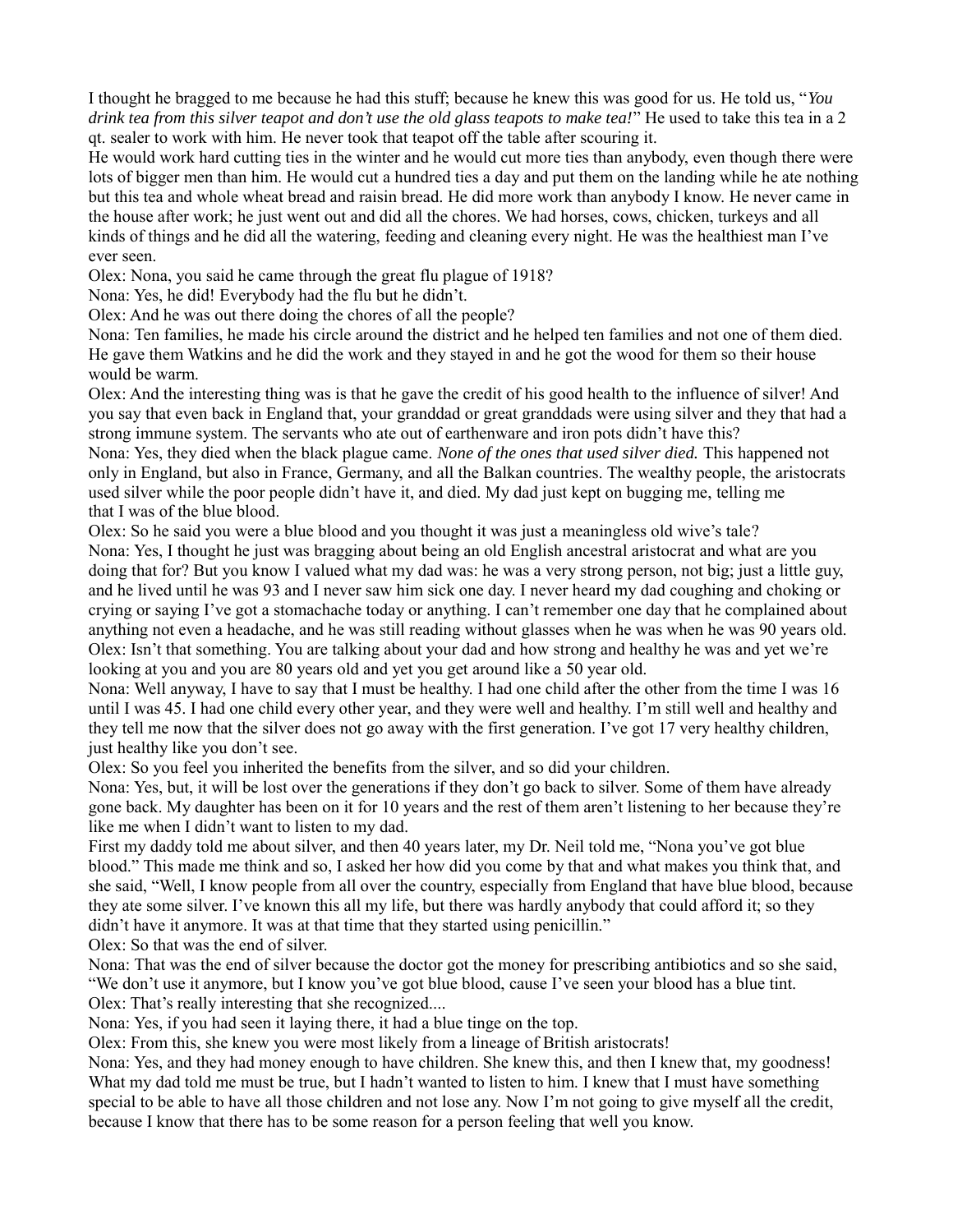I thought he bragged to me because he had this stuff; because he knew this was good for us. He told us, "*You drink tea from this silver teapot and don't use the old glass teapots to make tea!*" He used to take this tea in a 2 qt. sealer to work with him. He never took that teapot off the table after scouring it.

He would work hard cutting ties in the winter and he would cut more ties than anybody, even though there were lots of bigger men than him. He would cut a hundred ties a day and put them on the landing while he ate nothing but this tea and whole wheat bread and raisin bread. He did more work than anybody I know. He never came in the house after work; he just went out and did all the chores. We had horses, cows, chicken, turkeys and all kinds of things and he did all the watering, feeding and cleaning every night. He was the healthiest man I've ever seen.

Olex: Nona, you said he came through the great flu plague of 1918?

Nona: Yes, he did! Everybody had the flu but he didn't.

Olex: And he was out there doing the chores of all the people?

Nona: Ten families, he made his circle around the district and he helped ten families and not one of them died. He gave them Watkins and he did the work and they stayed in and he got the wood for them so their house would be warm.

Olex: And the interesting thing was is that he gave the credit of his good health to the influence of silver! And you say that even back in England that, your granddad or great granddads were using silver and they that had a strong immune system. The servants who ate out of earthenware and iron pots didn't have this?

Nona: Yes, they died when the black plague came. *None of the ones that used silver died.* This happened not only in England, but also in France, Germany, and all the Balkan countries. The wealthy people, the aristocrats used silver while the poor people didn't have it, and died. My dad just kept on bugging me, telling me that I was of the blue blood.

Olex: So he said you were a blue blood and you thought it was just a meaningless old wive's tale? Nona: Yes, I thought he just was bragging about being an old English ancestral aristocrat and what are you doing that for? But you know I valued what my dad was: he was a very strong person, not big; just a little guy, and he lived until he was 93 and I never saw him sick one day. I never heard my dad coughing and choking or crying or saying I've got a stomachache today or anything. I can't remember one day that he complained about anything not even a headache, and he was still reading without glasses when he was when he was 90 years old. Olex: Isn't that something. You are talking about your dad and how strong and healthy he was and yet we're looking at you and you are 80 years old and yet you get around like a 50 year old.

Nona: Well anyway, I have to say that I must be healthy. I had one child after the other from the time I was 16 until I was 45. I had one child every other year, and they were well and healthy. I'm still well and healthy and they tell me now that the silver does not go away with the first generation. I've got 17 very healthy children, just healthy like you don't see.

Olex: So you feel you inherited the benefits from the silver, and so did your children.

Nona: Yes, but, it will be lost over the generations if they don't go back to silver. Some of them have already gone back. My daughter has been on it for 10 years and the rest of them aren't listening to her because they're like me when I didn't want to listen to my dad.

First my daddy told me about silver, and then 40 years later, my Dr. Neil told me, "Nona you've got blue blood." This made me think and so, I asked her how did you come by that and what makes you think that, and she said, "Well, I know people from all over the country, especially from England that have blue blood, because they ate some silver. I've known this all my life, but there was hardly anybody that could afford it; so they didn't have it anymore. It was at that time that they started using penicillin."

Olex: So that was the end of silver.

Nona: That was the end of silver because the doctor got the money for prescribing antibiotics and so she said, "We don't use it anymore, but I know you've got blue blood, cause I've seen your blood has a blue tint. Olex: That's really interesting that she recognized....

Nona: Yes, if you had seen it laying there, it had a blue tinge on the top.

Olex: From this, she knew you were most likely from a lineage of British aristocrats!

Nona: Yes, and they had money enough to have children. She knew this, and then I knew that, my goodness! What my dad told me must be true, but I hadn't wanted to listen to him. I knew that I must have something special to be able to have all those children and not lose any. Now I'm not going to give myself all the credit, because I know that there has to be some reason for a person feeling that well you know.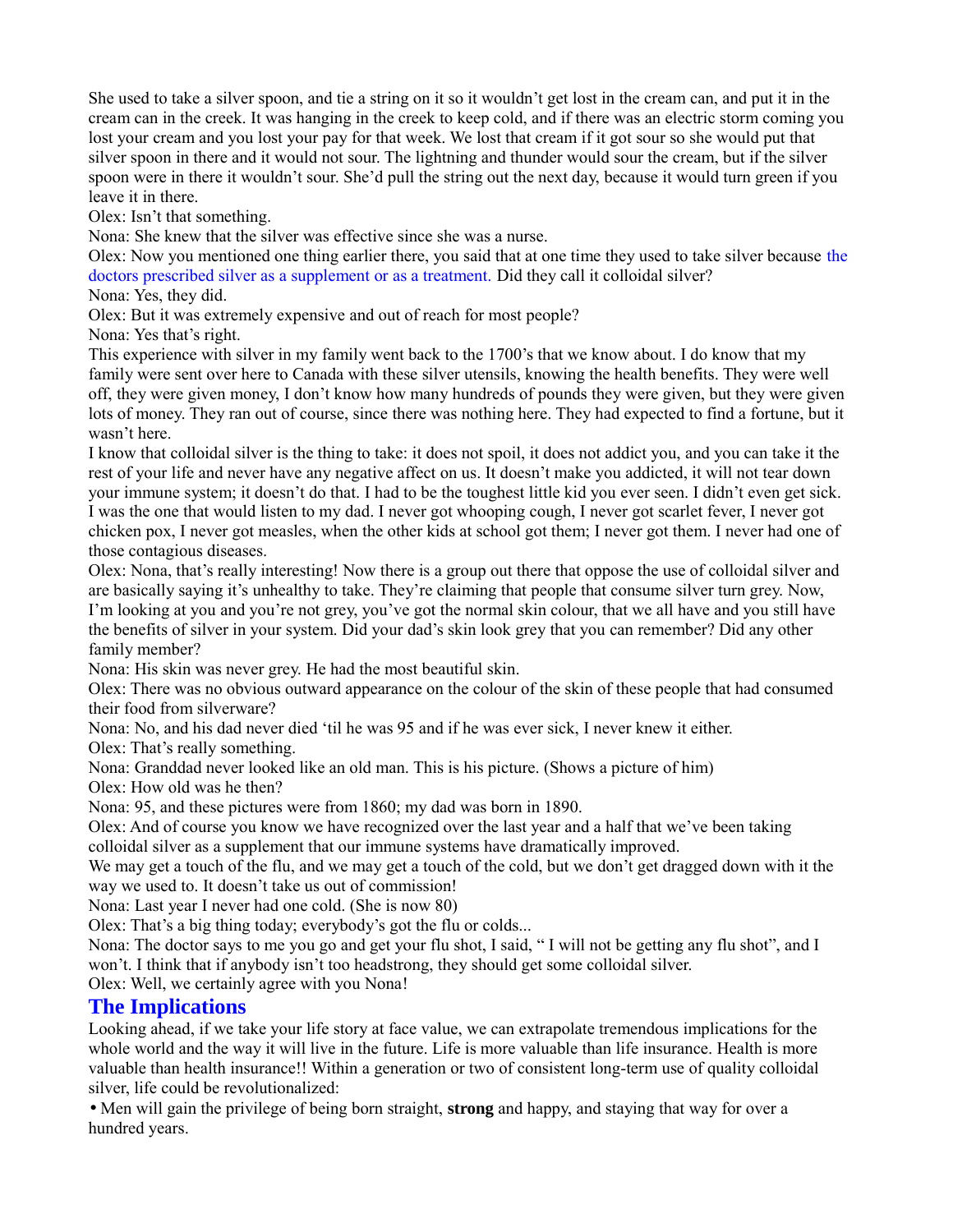She used to take a silver spoon, and tie a string on it so it wouldn't get lost in the cream can, and put it in the cream can in the creek. It was hanging in the creek to keep cold, and if there was an electric storm coming you lost your cream and you lost your pay for that week. We lost that cream if it got sour so she would put that silver spoon in there and it would not sour. The lightning and thunder would sour the cream, but if the silver spoon were in there it wouldn't sour. She'd pull the string out the next day, because it would turn green if you leave it in there.

Olex: Isn't that something.

Nona: She knew that the silver was effective since she was a nurse.

Olex: Now you mentioned one thing earlier there, you said that at one time they used to take silver because the doctors prescribed silver as a supplement or as a treatment. Did they call it colloidal silver?

Nona: Yes, they did.

Olex: But it was extremely expensive and out of reach for most people?

Nona: Yes that's right.

This experience with silver in my family went back to the 1700's that we know about. I do know that my family were sent over here to Canada with these silver utensils, knowing the health benefits. They were well off, they were given money, I don't know how many hundreds of pounds they were given, but they were given lots of money. They ran out of course, since there was nothing here. They had expected to find a fortune, but it wasn't here.

I know that colloidal silver is the thing to take: it does not spoil, it does not addict you, and you can take it the rest of your life and never have any negative affect on us. It doesn't make you addicted, it will not tear down your immune system; it doesn't do that. I had to be the toughest little kid you ever seen. I didn't even get sick. I was the one that would listen to my dad. I never got whooping cough, I never got scarlet fever, I never got chicken pox, I never got measles, when the other kids at school got them; I never got them. I never had one of those contagious diseases.

Olex: Nona, that's really interesting! Now there is a group out there that oppose the use of colloidal silver and are basically saying it's unhealthy to take. They're claiming that people that consume silver turn grey. Now, I'm looking at you and you're not grey, you've got the normal skin colour, that we all have and you still have the benefits of silver in your system. Did your dad's skin look grey that you can remember? Did any other family member?

Nona: His skin was never grey. He had the most beautiful skin.

Olex: There was no obvious outward appearance on the colour of the skin of these people that had consumed their food from silverware?

Nona: No, and his dad never died 'til he was 95 and if he was ever sick, I never knew it either.

Olex: That's really something.

Nona: Granddad never looked like an old man. This is his picture. (Shows a picture of him)

Olex: How old was he then?

Nona: 95, and these pictures were from 1860; my dad was born in 1890.

Olex: And of course you know we have recognized over the last year and a half that we've been taking colloidal silver as a supplement that our immune systems have dramatically improved.

We may get a touch of the flu, and we may get a touch of the cold, but we don't get dragged down with it the way we used to. It doesn't take us out of commission!

Nona: Last year I never had one cold. (She is now 80)

Olex: That's a big thing today; everybody's got the flu or colds...

Nona: The doctor says to me you go and get your flu shot, I said, " I will not be getting any flu shot", and I won't. I think that if anybody isn't too headstrong, they should get some colloidal silver.

Olex: Well, we certainly agree with you Nona!

# **The Implications**

Looking ahead, if we take your life story at face value, we can extrapolate tremendous implications for the whole world and the way it will live in the future. Life is more valuable than life insurance. Health is more valuable than health insurance!! Within a generation or two of consistent long-term use of quality colloidal silver, life could be revolutionalized:

• Men will gain the privilege of being born straight, **strong** and happy, and staying that way for over a hundred years.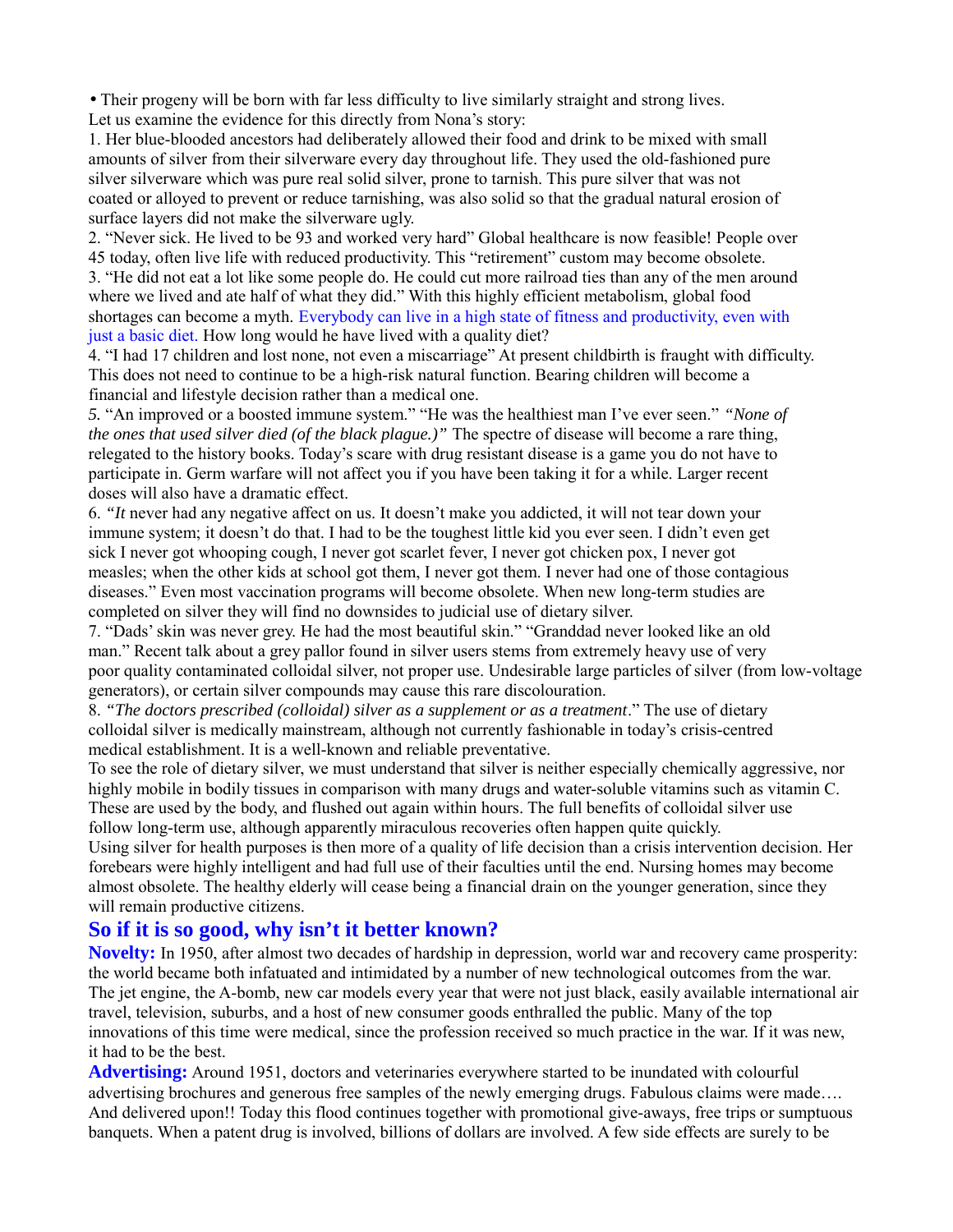• Their progeny will be born with far less difficulty to live similarly straight and strong lives. Let us examine the evidence for this directly from Nona's story:

1. Her blue-blooded ancestors had deliberately allowed their food and drink to be mixed with small amounts of silver from their silverware every day throughout life. They used the old-fashioned pure silver silverware which was pure real solid silver, prone to tarnish. This pure silver that was not coated or alloyed to prevent or reduce tarnishing, was also solid so that the gradual natural erosion of surface layers did not make the silverware ugly.

2. "Never sick. He lived to be 93 and worked very hard" Global healthcare is now feasible! People over 45 today, often live life with reduced productivity. This "retirement" custom may become obsolete. 3. "He did not eat a lot like some people do. He could cut more railroad ties than any of the men around where we lived and ate half of what they did." With this highly efficient metabolism, global food shortages can become a myth. Everybody can live in a high state of fitness and productivity, even with just a basic diet. How long would he have lived with a quality diet?

4. "I had 17 children and lost none, not even a miscarriage" At present childbirth is fraught with difficulty. This does not need to continue to be a high-risk natural function. Bearing children will become a financial and lifestyle decision rather than a medical one.

*5.* "An improved or a boosted immune system." "He was the healthiest man I've ever seen." *"None of the ones that used silver died (of the black plague.)"* The spectre of disease will become a rare thing, relegated to the history books. Today's scare with drug resistant disease is a game you do not have to participate in. Germ warfare will not affect you if you have been taking it for a while. Larger recent doses will also have a dramatic effect.

6. *"It* never had any negative affect on us. It doesn't make you addicted, it will not tear down your immune system; it doesn't do that. I had to be the toughest little kid you ever seen. I didn't even get sick I never got whooping cough, I never got scarlet fever, I never got chicken pox, I never got measles; when the other kids at school got them, I never got them. I never had one of those contagious diseases." Even most vaccination programs will become obsolete. When new long-term studies are completed on silver they will find no downsides to judicial use of dietary silver.

7. "Dads' skin was never grey. He had the most beautiful skin." "Granddad never looked like an old man." Recent talk about a grey pallor found in silver users stems from extremely heavy use of very poor quality contaminated colloidal silver, not proper use. Undesirable large particles of silver (from low-voltage generators), or certain silver compounds may cause this rare discolouration.

8. *"The doctors prescribed (colloidal) silver as a supplement or as a treatment*." The use of dietary colloidal silver is medically mainstream, although not currently fashionable in today's crisis-centred medical establishment. It is a well-known and reliable preventative.

To see the role of dietary silver, we must understand that silver is neither especially chemically aggressive, nor highly mobile in bodily tissues in comparison with many drugs and water-soluble vitamins such as vitamin C. These are used by the body, and flushed out again within hours. The full benefits of colloidal silver use follow long-term use, although apparently miraculous recoveries often happen quite quickly.

Using silver for health purposes is then more of a quality of life decision than a crisis intervention decision. Her forebears were highly intelligent and had full use of their faculties until the end. Nursing homes may become almost obsolete. The healthy elderly will cease being a financial drain on the younger generation, since they will remain productive citizens.

# **So if it is so good, why isn't it better known?**

**Novelty:** In 1950, after almost two decades of hardship in depression, world war and recovery came prosperity: the world became both infatuated and intimidated by a number of new technological outcomes from the war. The jet engine, the A-bomb, new car models every year that were not just black, easily available international air travel, television, suburbs, and a host of new consumer goods enthralled the public. Many of the top innovations of this time were medical, since the profession received so much practice in the war. If it was new, it had to be the best.

**Advertising:** Around 1951, doctors and veterinaries everywhere started to be inundated with colourful advertising brochures and generous free samples of the newly emerging drugs. Fabulous claims were made…. And delivered upon!! Today this flood continues together with promotional give-aways, free trips or sumptuous banquets. When a patent drug is involved, billions of dollars are involved. A few side effects are surely to be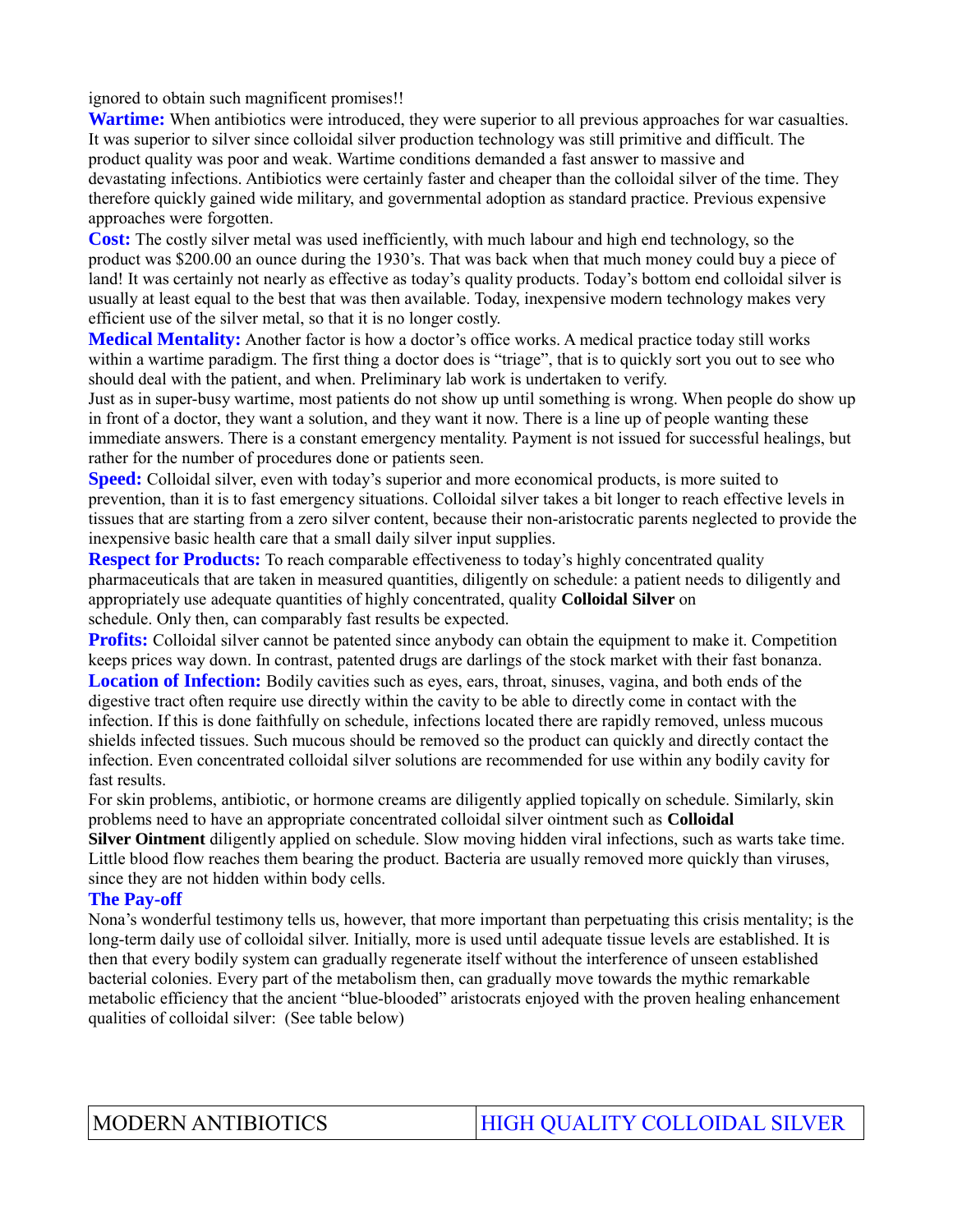ignored to obtain such magnificent promises!!

**Wartime:** When antibiotics were introduced, they were superior to all previous approaches for war casualties. It was superior to silver since colloidal silver production technology was still primitive and difficult. The product quality was poor and weak. Wartime conditions demanded a fast answer to massive and devastating infections. Antibiotics were certainly faster and cheaper than the colloidal silver of the time. They therefore quickly gained wide military, and governmental adoption as standard practice. Previous expensive approaches were forgotten.

**Cost:** The costly silver metal was used inefficiently, with much labour and high end technology, so the product was \$200.00 an ounce during the 1930's. That was back when that much money could buy a piece of land! It was certainly not nearly as effective as today's quality products. Today's bottom end colloidal silver is usually at least equal to the best that was then available. Today, inexpensive modern technology makes very efficient use of the silver metal, so that it is no longer costly.

**Medical Mentality:** Another factor is how a doctor's office works. A medical practice today still works within a wartime paradigm. The first thing a doctor does is "triage", that is to quickly sort you out to see who should deal with the patient, and when. Preliminary lab work is undertaken to verify.

Just as in super-busy wartime, most patients do not show up until something is wrong. When people do show up in front of a doctor, they want a solution, and they want it now. There is a line up of people wanting these immediate answers. There is a constant emergency mentality. Payment is not issued for successful healings, but rather for the number of procedures done or patients seen.

**Speed:** Colloidal silver, even with today's superior and more economical products, is more suited to prevention, than it is to fast emergency situations. Colloidal silver takes a bit longer to reach effective levels in tissues that are starting from a zero silver content, because their non-aristocratic parents neglected to provide the inexpensive basic health care that a small daily silver input supplies.

**Respect for Products:** To reach comparable effectiveness to today's highly concentrated quality pharmaceuticals that are taken in measured quantities, diligently on schedule: a patient needs to diligently and appropriately use adequate quantities of highly concentrated, quality **Colloidal Silver** on schedule. Only then, can comparably fast results be expected.

**Profits:** Colloidal silver cannot be patented since anybody can obtain the equipment to make it. Competition keeps prices way down. In contrast, patented drugs are darlings of the stock market with their fast bonanza. **Location of Infection:** Bodily cavities such as eyes, ears, throat, sinuses, vagina, and both ends of the digestive tract often require use directly within the cavity to be able to directly come in contact with the infection. If this is done faithfully on schedule, infections located there are rapidly removed, unless mucous shields infected tissues. Such mucous should be removed so the product can quickly and directly contact the infection. Even concentrated colloidal silver solutions are recommended for use within any bodily cavity for fast results.

For skin problems, antibiotic, or hormone creams are diligently applied topically on schedule. Similarly, skin problems need to have an appropriate concentrated colloidal silver ointment such as **Colloidal**

**Silver Ointment** diligently applied on schedule. Slow moving hidden viral infections, such as warts take time. Little blood flow reaches them bearing the product. Bacteria are usually removed more quickly than viruses, since they are not hidden within body cells.

### **The Pay-off**

Nona's wonderful testimony tells us, however, that more important than perpetuating this crisis mentality; is the long-term daily use of colloidal silver. Initially, more is used until adequate tissue levels are established. It is then that every bodily system can gradually regenerate itself without the interference of unseen established bacterial colonies. Every part of the metabolism then, can gradually move towards the mythic remarkable metabolic efficiency that the ancient "blue-blooded" aristocrats enjoyed with the proven healing enhancement qualities of colloidal silver: (See table below)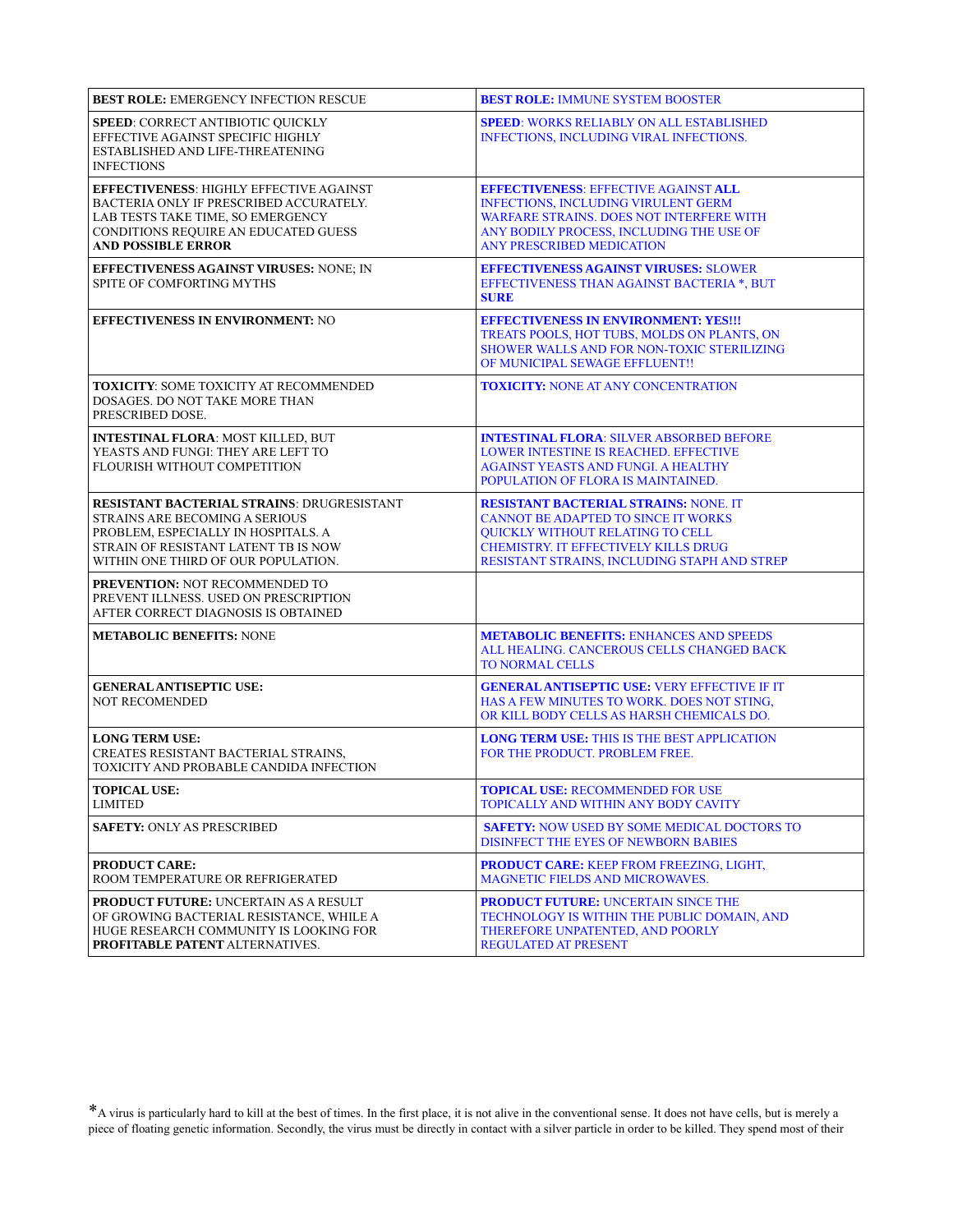| <b>BEST ROLE: EMERGENCY INFECTION RESCUE</b>                                                                                                                                                               | <b>BEST ROLE: IMMUNE SYSTEM BOOSTER</b>                                                                                                                                                                                       |
|------------------------------------------------------------------------------------------------------------------------------------------------------------------------------------------------------------|-------------------------------------------------------------------------------------------------------------------------------------------------------------------------------------------------------------------------------|
| <b>SPEED: CORRECT ANTIBIOTIC QUICKLY</b><br>EFFECTIVE AGAINST SPECIFIC HIGHLY<br>ESTABLISHED AND LIFE-THREATENING<br><b>INFECTIONS</b>                                                                     | <b>SPEED: WORKS RELIABLY ON ALL ESTABLISHED</b><br><b>INFECTIONS, INCLUDING VIRAL INFECTIONS.</b>                                                                                                                             |
| <b>EFFECTIVENESS: HIGHLY EFFECTIVE AGAINST</b><br>BACTERIA ONLY IF PRESCRIBED ACCURATELY.<br>LAB TESTS TAKE TIME, SO EMERGENCY<br><b>CONDITIONS REQUIRE AN EDUCATED GUESS</b><br><b>AND POSSIBLE ERROR</b> | <b>EFFECTIVENESS: EFFECTIVE AGAINST ALL</b><br><b>INFECTIONS, INCLUDING VIRULENT GERM</b><br><b>WARFARE STRAINS. DOES NOT INTERFERE WITH</b><br>ANY BODILY PROCESS, INCLUDING THE USE OF<br><b>ANY PRESCRIBED MEDICATION</b>  |
| EFFECTIVENESS AGAINST VIRUSES: NONE; IN<br>SPITE OF COMFORTING MYTHS                                                                                                                                       | <b>EFFECTIVENESS AGAINST VIRUSES: SLOWER</b><br>EFFECTIVENESS THAN AGAINST BACTERIA *, BUT<br><b>SURE</b>                                                                                                                     |
| <b>EFFECTIVENESS IN ENVIRONMENT: NO</b>                                                                                                                                                                    | <b>EFFECTIVENESS IN ENVIRONMENT: YES!!!</b><br>TREATS POOLS, HOT TUBS, MOLDS ON PLANTS, ON<br><b>SHOWER WALLS AND FOR NON-TOXIC STERILIZING</b><br>OF MUNICIPAL SEWAGE EFFLUENT!!                                             |
| <b>TOXICITY: SOME TOXICITY AT RECOMMENDED</b><br>DOSAGES. DO NOT TAKE MORE THAN<br>PRESCRIBED DOSE.                                                                                                        | <b>TOXICITY: NONE AT ANY CONCENTRATION</b>                                                                                                                                                                                    |
| <b>INTESTINAL FLORA: MOST KILLED, BUT</b><br>YEASTS AND FUNGI: THEY ARE LEFT TO<br>FLOURISH WITHOUT COMPETITION                                                                                            | <b>INTESTINAL FLORA: SILVER ABSORBED BEFORE</b><br><b>LOWER INTESTINE IS REACHED. EFFECTIVE</b><br><b>AGAINST YEASTS AND FUNGL A HEALTHY</b><br>POPULATION OF FLORA IS MAINTAINED.                                            |
| RESISTANT BACTERIAL STRAINS: DRUGRESISTANT<br>STRAINS ARE BECOMING A SERIOUS<br>PROBLEM, ESPECIALLY IN HOSPITALS. A<br>STRAIN OF RESISTANT LATENT TB IS NOW<br>WITHIN ONE THIRD OF OUR POPULATION.         | <b>RESISTANT BACTERIAL STRAINS: NONE. IT</b><br><b>CANNOT BE ADAPTED TO SINCE IT WORKS</b><br>QUICKLY WITHOUT RELATING TO CELL<br><b>CHEMISTRY. IT EFFECTIVELY KILLS DRUG</b><br>RESISTANT STRAINS, INCLUDING STAPH AND STREP |
| PREVENTION: NOT RECOMMENDED TO<br>PREVENT ILLNESS. USED ON PRESCRIPTION<br>AFTER CORRECT DIAGNOSIS IS OBTAINED                                                                                             |                                                                                                                                                                                                                               |
| <b>METABOLIC BENEFITS: NONE</b>                                                                                                                                                                            | <b>METABOLIC BENEFITS: ENHANCES AND SPEEDS</b><br>ALL HEALING. CANCEROUS CELLS CHANGED BACK<br><b>TO NORMAL CELLS</b>                                                                                                         |
| <b>GENERAL ANTISEPTIC USE:</b><br><b>NOT RECOMENDED</b>                                                                                                                                                    | <b>GENERAL ANTISEPTIC USE: VERY EFFECTIVE IF IT</b><br>HAS A FEW MINUTES TO WORK. DOES NOT STING,<br>OR KILL BODY CELLS AS HARSH CHEMICALS DO.                                                                                |
| <b>LONG TERM USE:</b><br>CREATES RESISTANT BACTERIAL STRAINS,<br>TOXICITY AND PROBABLE CANDIDA INFECTION                                                                                                   | <b>LONG TERM USE: THIS IS THE BEST APPLICATION</b><br>FOR THE PRODUCT. PROBLEM FREE.                                                                                                                                          |
| <b>TOPICAL USE:</b><br><b>LIMITED</b>                                                                                                                                                                      | <b>TOPICAL USE: RECOMMENDED FOR USE</b><br>TOPICALLY AND WITHIN ANY BODY CAVITY                                                                                                                                               |
| <b>SAFETY: ONLY AS PRESCRIBED</b>                                                                                                                                                                          | <b>SAFETY: NOW USED BY SOME MEDICAL DOCTORS TO</b><br>DISINFECT THE EYES OF NEWBORN BABIES                                                                                                                                    |
| <b>PRODUCT CARE:</b><br>ROOM TEMPERATURE OR REFRIGERATED                                                                                                                                                   | <b>PRODUCT CARE: KEEP FROM FREEZING, LIGHT,</b><br><b>MAGNETIC FIELDS AND MICROWAVES.</b>                                                                                                                                     |
| <b>PRODUCT FUTURE: UNCERTAIN AS A RESULT</b><br>OF GROWING BACTERIAL RESISTANCE, WHILE A<br>HUGE RESEARCH COMMUNITY IS LOOKING FOR<br>PROFITABLE PATENT ALTERNATIVES.                                      | <b>PRODUCT FUTURE: UNCERTAIN SINCE THE</b><br>TECHNOLOGY IS WITHIN THE PUBLIC DOMAIN, AND<br>THEREFORE UNPATENTED, AND POORLY<br><b>REGULATED AT PRESENT</b>                                                                  |

\*A virus is particularly hard to kill at the best of times. In the first place, it is not alive in the conventional sense. It does not have cells, but is merely a piece of floating genetic information. Secondly, the virus must be directly in contact with a silver particle in order to be killed. They spend most of their